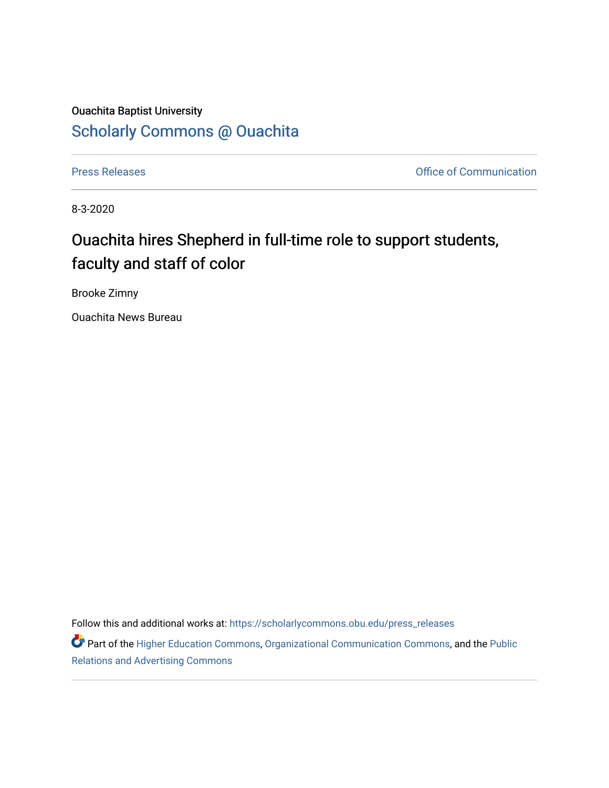## Ouachita Baptist University [Scholarly Commons @ Ouachita](https://scholarlycommons.obu.edu/)

[Press Releases](https://scholarlycommons.obu.edu/press_releases) **Press Releases Communication Press Releases Office of Communication** 

8-3-2020

## Ouachita hires Shepherd in full-time role to support students, faculty and staff of color

Brooke Zimny

Ouachita News Bureau

Follow this and additional works at: [https://scholarlycommons.obu.edu/press\\_releases](https://scholarlycommons.obu.edu/press_releases?utm_source=scholarlycommons.obu.edu%2Fpress_releases%2F769&utm_medium=PDF&utm_campaign=PDFCoverPages)

Part of the [Higher Education Commons,](http://network.bepress.com/hgg/discipline/1245?utm_source=scholarlycommons.obu.edu%2Fpress_releases%2F769&utm_medium=PDF&utm_campaign=PDFCoverPages) [Organizational Communication Commons,](http://network.bepress.com/hgg/discipline/335?utm_source=scholarlycommons.obu.edu%2Fpress_releases%2F769&utm_medium=PDF&utm_campaign=PDFCoverPages) and the [Public](http://network.bepress.com/hgg/discipline/336?utm_source=scholarlycommons.obu.edu%2Fpress_releases%2F769&utm_medium=PDF&utm_campaign=PDFCoverPages) [Relations and Advertising Commons](http://network.bepress.com/hgg/discipline/336?utm_source=scholarlycommons.obu.edu%2Fpress_releases%2F769&utm_medium=PDF&utm_campaign=PDFCoverPages)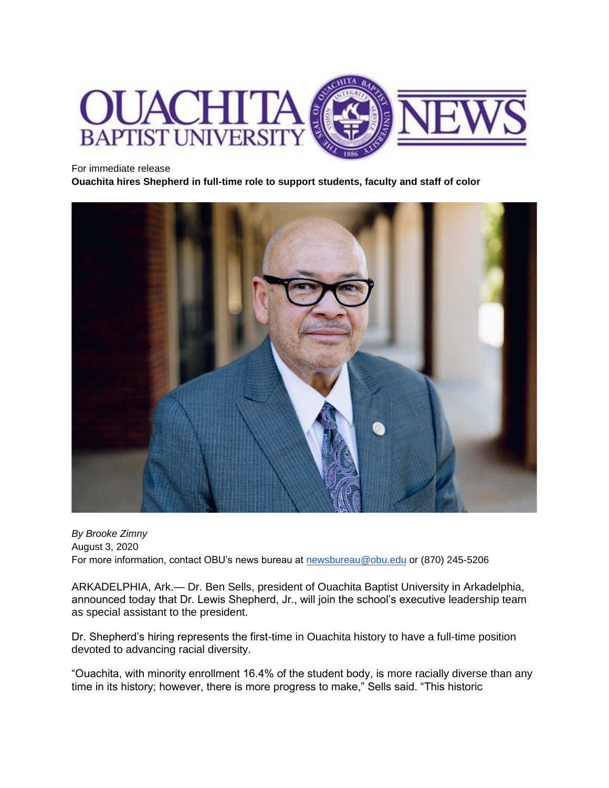

## For immediate release

**Ouachita hires Shepherd in full-time role to support students, faculty and staff of color**



*By Brooke Zimny* August 3, 2020 For more information, contact OBU's news bureau at [newsbureau@obu.edu](mailto:newsbureau@obu.edu) or (870) 245-5206

ARKADELPHIA, Ark.— Dr. Ben Sells, president of Ouachita Baptist University in Arkadelphia, announced today that Dr. Lewis Shepherd, Jr., will join the school's executive leadership team as special assistant to the president.

Dr. Shepherd's hiring represents the first-time in Ouachita history to have a full-time position devoted to advancing racial diversity.

"Ouachita, with minority enrollment 16.4% of the student body, is more racially diverse than any time in its history; however, there is more progress to make," Sells said. "This historic